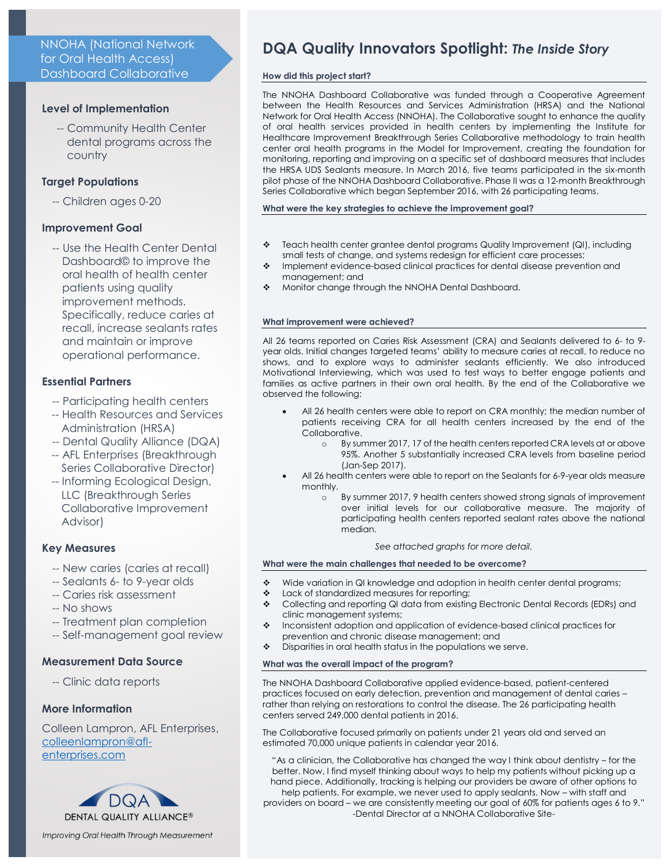# NNOHA (National Network for Oral Health Access) Dashboard Collaborative

# **Level of Implementation**

-- Community Health Center dental programs across the country

# **Target Populations**

-- Children ages 0-20

### **Improvement Goal**

-- Use the Health Center Dental Dashboard© to improve the oral health of health center patients using quality improvement methods. Specifically, reduce caries at recall, increase sealants rates and maintain or improve operational performance.

# **Essential Partners**

- -- Participating health centers
- -- Health Resources and Services Administration (HRSA)
- -- Dental Quality Alliance (DQA)
- -- AFL Enterprises (Breakthrough Series Collaborative Director)
- -- Informing Ecological Design, LLC (Breakthrough Series Collaborative Improvement Advisor)

### **Key Measures**

- -- New caries (caries at recall)
- -- Sealants 6- to 9-year olds
- -- Caries risk assessment
- -- No shows
- -- Treatment plan completion
- -- Self-management goal review

### **Measurement Data Source**

-- Clinic data reports

### **More Information**

Colleen Lampron, AFL Enterprises, [colleenlampron@afl](mailto:colleenlampron@afl-enterprises.com)[enterprises.com](mailto:colleenlampron@afl-enterprises.com)



Improving Oral Health Through Measurement

# **DQA Quality Innovators Spotlight:** *The Inside Story*

### **How did this project start?**

The NNOHA Dashboard Collaborative was funded through a Cooperative Agreement between the Health Resources and Services Administration (HRSA) and the National Network for Oral Health Access (NNOHA). The Collaborative sought to enhance the quality of oral health services provided in health centers by implementing the Institute for Healthcare Improvement Breakthrough Series Collaborative methodology to train health center oral health programs in the Model for Improvement, creating the foundation for monitoring, reporting and improving on a specific set of dashboard measures that includes the HRSA UDS Sealants measure. In March 2016, five teams participated in the six-month pilot phase of the NNOHA Dashboard Collaborative. Phase II was a 12-month Breakthrough Series Collaborative which began September 2016, with 26 participating teams.

#### **What were the key strategies to achieve the improvement goal?**

- Teach health center grantee dental programs Quality Improvement (QI), including small tests of change, and systems redesign for efficient care processes;
- ❖ Implement evidence-based clinical practices for dental disease prevention and management; and
- ❖ Monitor change through the NNOHA Dental Dashboard.

### **What improvement were achieved?**

All 26 teams reported on Caries Risk Assessment (CRA) and Sealants delivered to 6- to 9 year olds. Initial changes targeted teams' ability to measure caries at recall, to reduce no shows, and to explore ways to administer sealants efficiently. We also introduced Motivational Interviewing, which was used to test ways to better engage patients and families as active partners in their own oral health. By the end of the Collaborative we observed the following:

- All 26 health centers were able to report on CRA monthly; the median number of patients receiving CRA for all health centers increased by the end of the Collaborative.
	- o By summer 2017, 17 of the health centers reported CRA levels at or above 95%. Another 5 substantially increased CRA levels from baseline period (Jan-Sep 2017).
- All 26 health centers were able to report on the Sealants for 6-9-year olds measure monthly.
	- o By summer 2017, 9 health centers showed strong signals of improvement over initial levels for our collaborative measure. The majority of participating health centers reported sealant rates above the national median.

#### *See attached graphs for more detail.*

#### **What were the main challenges that needed to be overcome?**

- ❖ Wide variation in QI knowledge and adoption in health center dental programs;
- ❖ Lack of standardized measures for reporting;
- ❖ Collecting and reporting QI data from existing Electronic Dental Records (EDRs) and clinic management systems;
- ❖ Inconsistent adoption and application of evidence-based clinical practices for prevention and chronic disease management; and
- ❖ Disparities in oral health status in the populations we serve.

#### **What was the overall impact of the program?**

The NNOHA Dashboard Collaborative applied evidence-based, patient-centered practices focused on early detection, prevention and management of dental caries – rather than relying on restorations to control the disease. The 26 participating health centers served 249,000 dental patients in 2016.

The Collaborative focused primarily on patients under 21 years old and served an estimated 70,000 unique patients in calendar year 2016.

"As a clinician, the Collaborative has changed the way I think about dentistry – for the better. Now, I find myself thinking about ways to help my patients without picking up a hand piece. Additionally, tracking is helping our providers be aware of other options to

help patients. For example, we never used to apply sealants. Now – with staff and providers on board – we are consistently meeting our goal of 60% for patients ages 6 to 9." -Dental Director at a NNOHA Collaborative Site-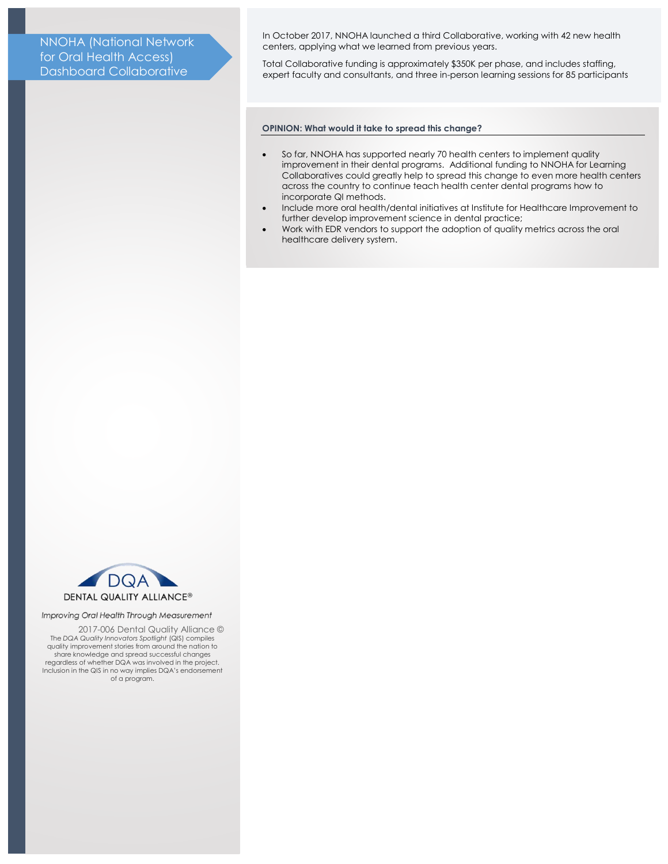# NNOHA (National Network for Oral Health Access) Dashboard Collaborative

In October 2017, NNOHA launched a third Collaborative, working with 42 new health centers, applying what we learned from previous years.

Total Collaborative funding is approximately \$350K per phase, and includes staffing, expert faculty and consultants, and three in-person learning sessions for 85 participants

#### **OPINION: What would it take to spread this change?**

- So far, NNOHA has supported nearly 70 health centers to implement quality improvement in their dental programs. Additional funding to NNOHA for Learning Collaboratives could greatly help to spread this change to even more health centers across the country to continue teach health center dental programs how to incorporate QI methods.
- Include more oral health/dental initiatives at Institute for Healthcare Improvement to further develop improvement science in dental practice;
- Work with EDR vendors to support the adoption of quality metrics across the oral healthcare delivery system.



#### Improving Oral Health Through Measurement

2017-006 Dental Quality Alliance © The *DQA Quality Innovators Spotlight* (QIS) compiles quality improvement stories from around the nation to share knowledge and spread successful changes regardless of whether DQA was involved in the project. Inclusion in the QIS in no way implies DQA's endorsement of a program.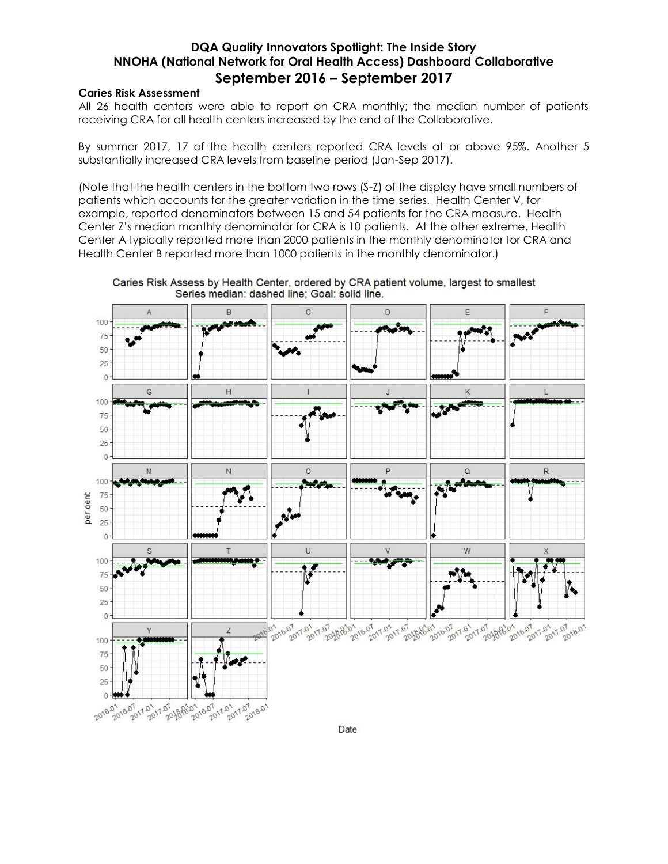# **DQA Quality Innovators Spotlight: The Inside Story NNOHA (National Network for Oral Health Access) Dashboard Collaborative September 2016 – September 2017**

# **Caries Risk Assessment**

All 26 health centers were able to report on CRA monthly; the median number of patients receiving CRA for all health centers increased by the end of the Collaborative.

By summer 2017, 17 of the health centers reported CRA levels at or above 95%. Another 5 substantially increased CRA levels from baseline period (Jan-Sep 2017).

(Note that the health centers in the bottom two rows (S-Z) of the display have small numbers of patients which accounts for the greater variation in the time series. Health Center V, for example, reported denominators between 15 and 54 patients for the CRA measure. Health Center Z's median monthly denominator for CRA is 10 patients. At the other extreme, Health Center A typically reported more than 2000 patients in the monthly denominator for CRA and Health Center B reported more than 1000 patients in the monthly denominator.)